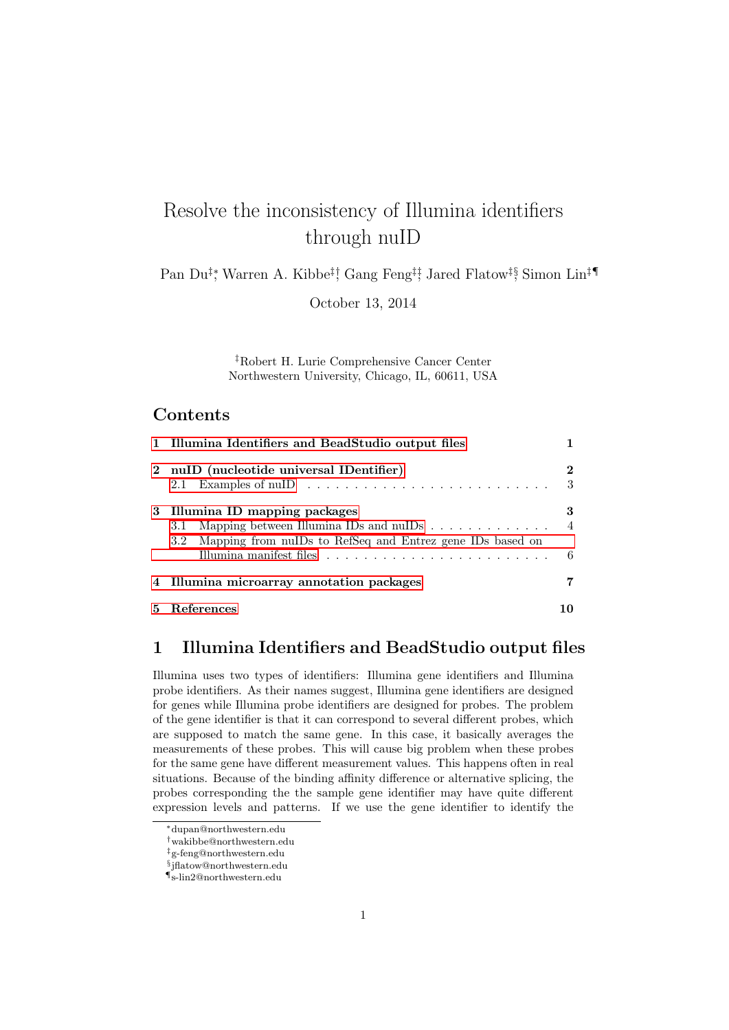# Resolve the inconsistency of Illumina identifiers through nuID

Pan Du<sup>‡</sup>\*, Warren A. Kibbe<sup>‡†</sup>, Gang Feng<sup>‡‡</sup>, Jared Flatow<sup>‡§</sup>, Simon Lin<sup>‡¶</sup>

October 13, 2014

‡Robert H. Lurie Comprehensive Cancer Center Northwestern University, Chicago, IL, 60611, USA

## Contents

| 1 Illumina Identifiers and BeadStudio output files                                                                                                                                                                                                                                         |               |
|--------------------------------------------------------------------------------------------------------------------------------------------------------------------------------------------------------------------------------------------------------------------------------------------|---------------|
| nuID (nucleotide universal IDentifier)                                                                                                                                                                                                                                                     | $\bf{2}$<br>3 |
| 3 Illumina ID mapping packages<br>Mapping between Illumina IDs and $\text{nulls} \dots \dots \dots \dots$<br>3.1<br>Mapping from nuIDs to RefSeq and Entrez gene IDs based on<br>3.2<br>Illumina manifest files $\ldots$ , $\ldots$ , $\ldots$ , $\ldots$ , $\ldots$ , $\ldots$ , $\ldots$ | 3<br>4<br>6   |
| 4 Illumina microarray annotation packages                                                                                                                                                                                                                                                  |               |
| <b>References</b>                                                                                                                                                                                                                                                                          |               |

### <span id="page-0-0"></span>1 Illumina Identifiers and BeadStudio output files

Illumina uses two types of identifiers: Illumina gene identifiers and Illumina probe identifiers. As their names suggest, Illumina gene identifiers are designed for genes while Illumina probe identifiers are designed for probes. The problem of the gene identifier is that it can correspond to several different probes, which are supposed to match the same gene. In this case, it basically averages the measurements of these probes. This will cause big problem when these probes for the same gene have different measurement values. This happens often in real situations. Because of the binding affinity difference or alternative splicing, the probes corresponding the the sample gene identifier may have quite different expression levels and patterns. If we use the gene identifier to identify the

<sup>∗</sup>dupan@northwestern.edu

<sup>†</sup>wakibbe@northwestern.edu

<sup>‡</sup>g-feng@northwestern.edu

<sup>§</sup> jflatow@northwestern.edu

<sup>¶</sup>s-lin2@northwestern.edu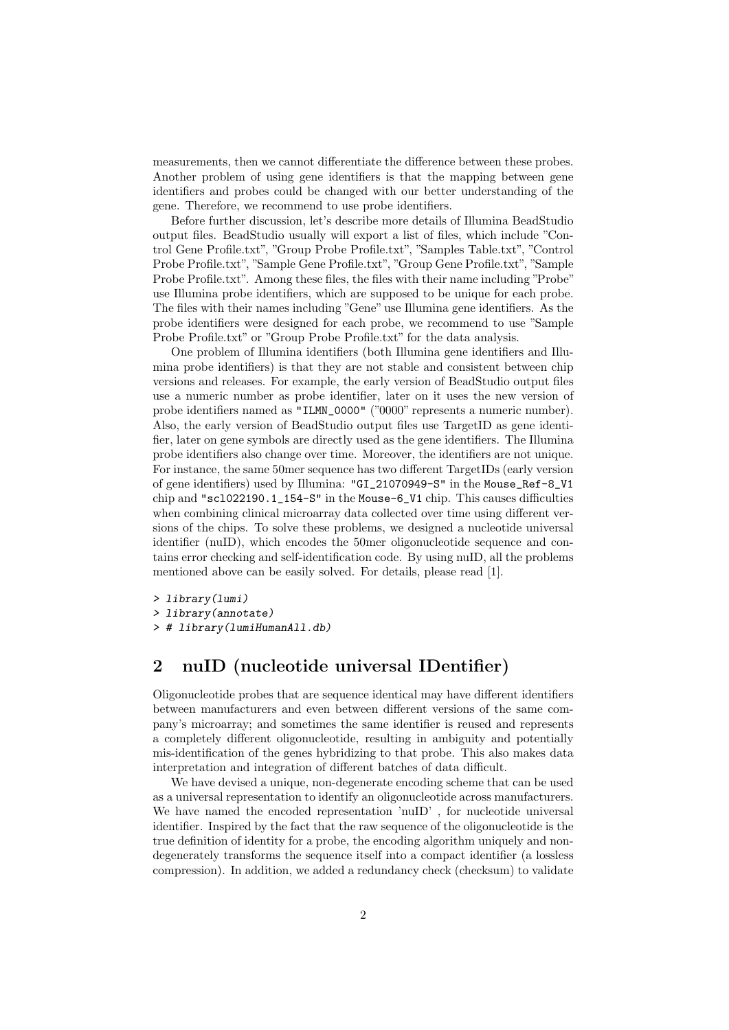measurements, then we cannot differentiate the difference between these probes. Another problem of using gene identifiers is that the mapping between gene identifiers and probes could be changed with our better understanding of the gene. Therefore, we recommend to use probe identifiers.

Before further discussion, let's describe more details of Illumina BeadStudio output files. BeadStudio usually will export a list of files, which include "Control Gene Profile.txt", "Group Probe Profile.txt", "Samples Table.txt", "Control Probe Profile.txt", "Sample Gene Profile.txt", "Group Gene Profile.txt", "Sample Probe Profile.txt". Among these files, the files with their name including "Probe" use Illumina probe identifiers, which are supposed to be unique for each probe. The files with their names including "Gene" use Illumina gene identifiers. As the probe identifiers were designed for each probe, we recommend to use "Sample Probe Profile.txt" or "Group Probe Profile.txt" for the data analysis.

One problem of Illumina identifiers (both Illumina gene identifiers and Illumina probe identifiers) is that they are not stable and consistent between chip versions and releases. For example, the early version of BeadStudio output files use a numeric number as probe identifier, later on it uses the new version of probe identifiers named as "ILMN\_0000" ("0000" represents a numeric number). Also, the early version of BeadStudio output files use TargetID as gene identifier, later on gene symbols are directly used as the gene identifiers. The Illumina probe identifiers also change over time. Moreover, the identifiers are not unique. For instance, the same 50mer sequence has two different TargetIDs (early version of gene identifiers) used by Illumina: "GI\_21070949-S" in the Mouse\_Ref-8\_V1 chip and "scl022190.1\_154-S" in the Mouse-6\_V1 chip. This causes difficulties when combining clinical microarray data collected over time using different versions of the chips. To solve these problems, we designed a nucleotide universal identifier (nuID), which encodes the 50mer oligonucleotide sequence and contains error checking and self-identification code. By using nuID, all the problems mentioned above can be easily solved. For details, please read [1].

```
> library(lumi)
```

```
> library(annotate)
```
> # library(lumiHumanAll.db)

# <span id="page-1-0"></span>2 nuID (nucleotide universal IDentifier)

Oligonucleotide probes that are sequence identical may have different identifiers between manufacturers and even between different versions of the same company's microarray; and sometimes the same identifier is reused and represents a completely different oligonucleotide, resulting in ambiguity and potentially mis-identification of the genes hybridizing to that probe. This also makes data interpretation and integration of different batches of data difficult.

We have devised a unique, non-degenerate encoding scheme that can be used as a universal representation to identify an oligonucleotide across manufacturers. We have named the encoded representation 'nuID', for nucleotide universal identifier. Inspired by the fact that the raw sequence of the oligonucleotide is the true definition of identity for a probe, the encoding algorithm uniquely and nondegenerately transforms the sequence itself into a compact identifier (a lossless compression). In addition, we added a redundancy check (checksum) to validate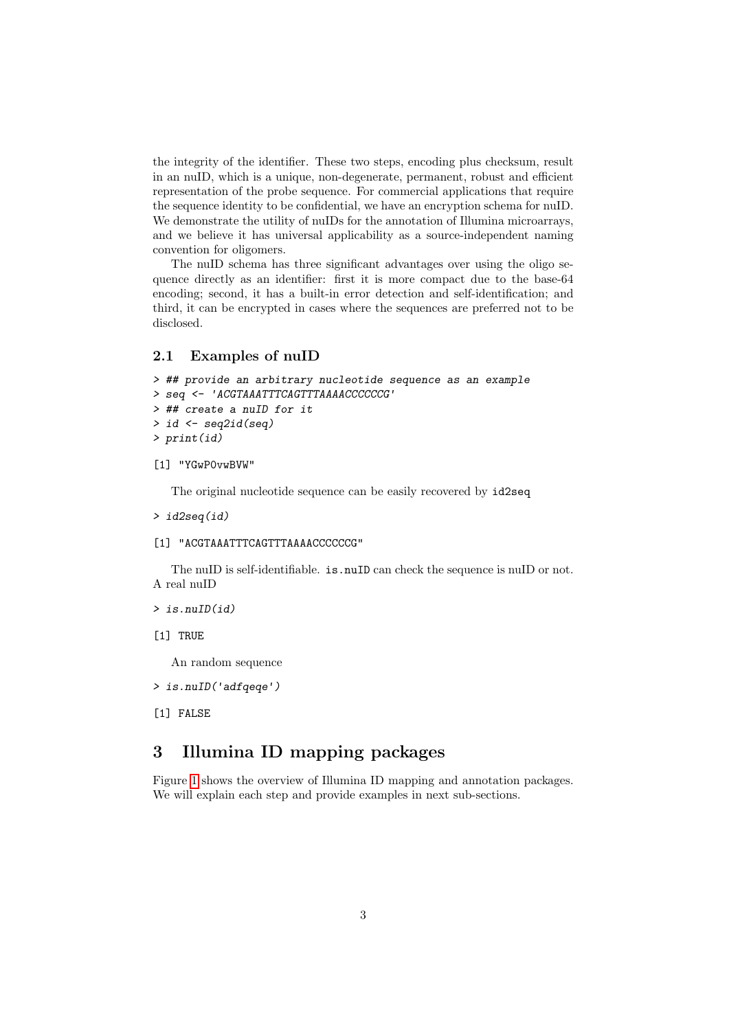the integrity of the identifier. These two steps, encoding plus checksum, result in an nuID, which is a unique, non-degenerate, permanent, robust and efficient representation of the probe sequence. For commercial applications that require the sequence identity to be confidential, we have an encryption schema for nuID. We demonstrate the utility of nuIDs for the annotation of Illumina microarrays, and we believe it has universal applicability as a source-independent naming convention for oligomers.

The nuID schema has three significant advantages over using the oligo sequence directly as an identifier: first it is more compact due to the base-64 encoding; second, it has a built-in error detection and self-identification; and third, it can be encrypted in cases where the sequences are preferred not to be disclosed.

### <span id="page-2-0"></span>2.1 Examples of nuID

```
> ## provide an arbitrary nucleotide sequence as an example
> seq <- 'ACGTAAATTTCAGTTTAAAACCCCCCG'
> ## create a nuID for it
> id \leq - seq2id(seq)> print(id)
```
[1] "YGwP0vwBVW"

The original nucleotide sequence can be easily recovered by id2seq

- > id2seq(id)
- [1] "ACGTAAATTTCAGTTTAAAACCCCCCG"

The nuID is self-identifiable. is . nuID can check the sequence is nuID or not. A real nuID

- > is.nuID(id)
- [1] TRUE

An random sequence

> is.nuID('adfqeqe')

[1] FALSE

# <span id="page-2-1"></span>3 Illumina ID mapping packages

Figure [1](#page-3-1) shows the overview of Illumina ID mapping and annotation packages. We will explain each step and provide examples in next sub-sections.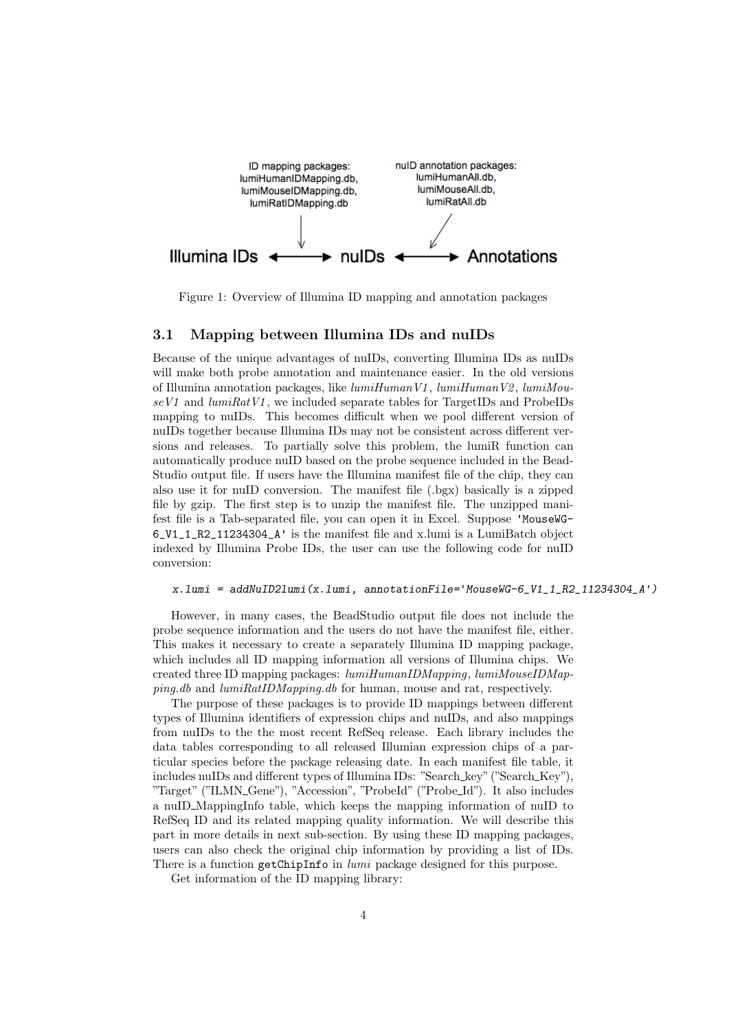

<span id="page-3-1"></span>Figure 1: Overview of Illumina ID mapping and annotation packages

#### <span id="page-3-0"></span>3.1 Mapping between Illumina IDs and nuIDs

Because of the unique advantages of nuIDs, converting Illumina IDs as nuIDs will make both probe annotation and maintenance easier. In the old versions of Illumina annotation packages, like  $lumiflumanV1$ ,  $lumiflumanV2$ ,  $lumiMou$  $seV1$  and  $lumiRatV1$ , we included separate tables for TargetIDs and ProbeIDs mapping to nuIDs. This becomes difficult when we pool different version of nuIDs together because Illumina IDs may not be consistent across different versions and releases. To partially solve this problem, the lumiR function can automatically produce nuID based on the probe sequence included in the Bead-Studio output file. If users have the Illumina manifest file of the chip, they can also use it for nuID conversion. The manifest file (.bgx) basically is a zipped file by gzip. The first step is to unzip the manifest file. The unzipped manifest file is a Tab-separated file, you can open it in Excel. Suppose 'MouseWG-6\_V1\_1\_R2\_11234304\_A' is the manifest file and x.lumi is a LumiBatch object indexed by Illumina Probe IDs, the user can use the following code for nuID conversion:

#### x.lumi = addNuID2lumi(x.lumi, annotationFile='MouseWG-6\_V1\_1\_R2\_11234304\_A')

However, in many cases, the BeadStudio output file does not include the probe sequence information and the users do not have the manifest file, either. This makes it necessary to create a separately Illumina ID mapping package, which includes all ID mapping information all versions of Illumina chips. We created three ID mapping packages: lumiHumanIDMapping, lumiMouseIDMapping.db and lumiRatIDMapping.db for human, mouse and rat, respectively.

The purpose of these packages is to provide ID mappings between different types of Illumina identifiers of expression chips and nuIDs, and also mappings from nuIDs to the the most recent RefSeq release. Each library includes the data tables corresponding to all released Illumian expression chips of a particular species before the package releasing date. In each manifest file table, it includes nuIDs and different types of Illumina IDs: "Search\_key" ("Search\_Key"), "Target" ("ILMN Gene"), "Accession", "ProbeId" ("Probe Id"). It also includes a nuID MappingInfo table, which keeps the mapping information of nuID to RefSeq ID and its related mapping quality information. We will describe this part in more details in next sub-section. By using these ID mapping packages, users can also check the original chip information by providing a list of IDs. There is a function getChipInfo in *lumi* package designed for this purpose.

Get information of the ID mapping library: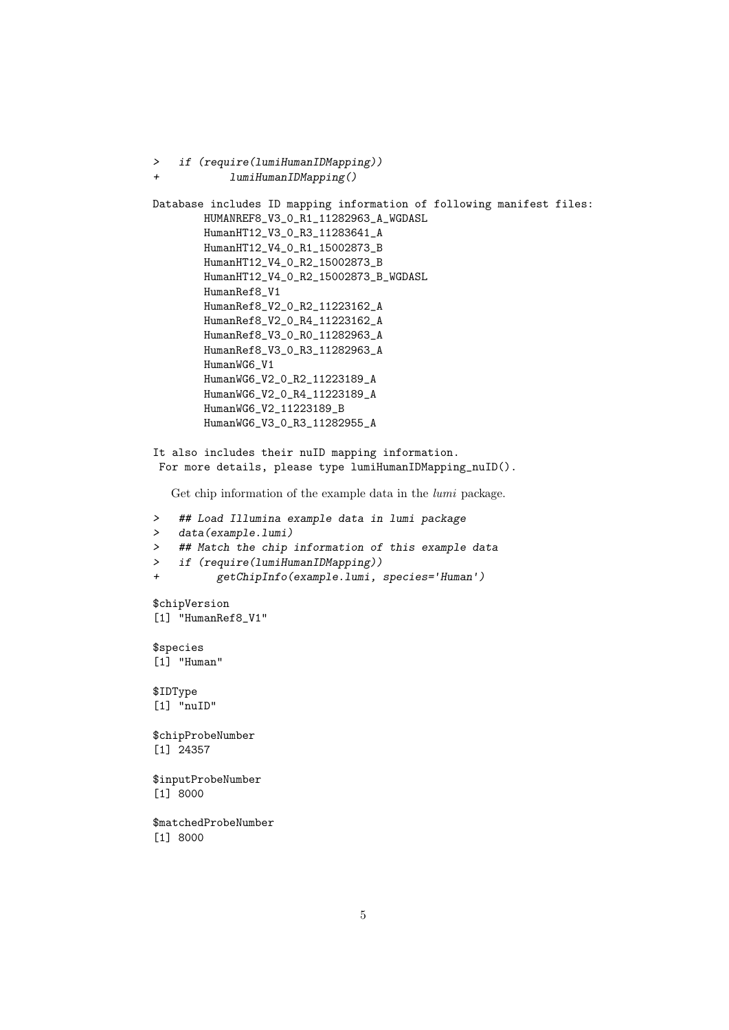```
> if (require(lumiHumanIDMapping))
            lumiHumanIDMapping()
Database includes ID mapping information of following manifest files:
       HUMANREF8_V3_0_R1_11282963_A_WGDASL
       HumanHT12_V3_0_R3_11283641_A
       HumanHT12_V4_0_R1_15002873_B
       HumanHT12_V4_0_R2_15002873_B
       HumanHT12_V4_0_R2_15002873_B_WGDASL
       HumanRef8_V1
       HumanRef8_V2_0_R2_11223162_A
       HumanRef8_V2_0_R4_11223162_A
       HumanRef8_V3_0_R0_11282963_A
       HumanRef8_V3_0_R3_11282963_A
       HumanWG6_V1
       HumanWG6_V2_0_R2_11223189_A
       HumanWG6_V2_0_R4_11223189_A
       HumanWG6_V2_11223189_B
       HumanWG6_V3_0_R3_11282955_A
```
It also includes their nuID mapping information. For more details, please type lumiHumanIDMapping\_nuID().

Get chip information of the example data in the *lumi* package.

```
> ## Load Illumina example data in lumi package
> data(example.lumi)
> ## Match the chip information of this example data
> if (require(lumiHumanIDMapping))
+ getChipInfo(example.lumi, species='Human')
$chipVersion
[1] "HumanRef8_V1"
$species
[1] "Human"
$IDType
[1] "nuID"
$chipProbeNumber
[1] 24357
$inputProbeNumber
[1] 8000
$matchedProbeNumber
[1] 8000
```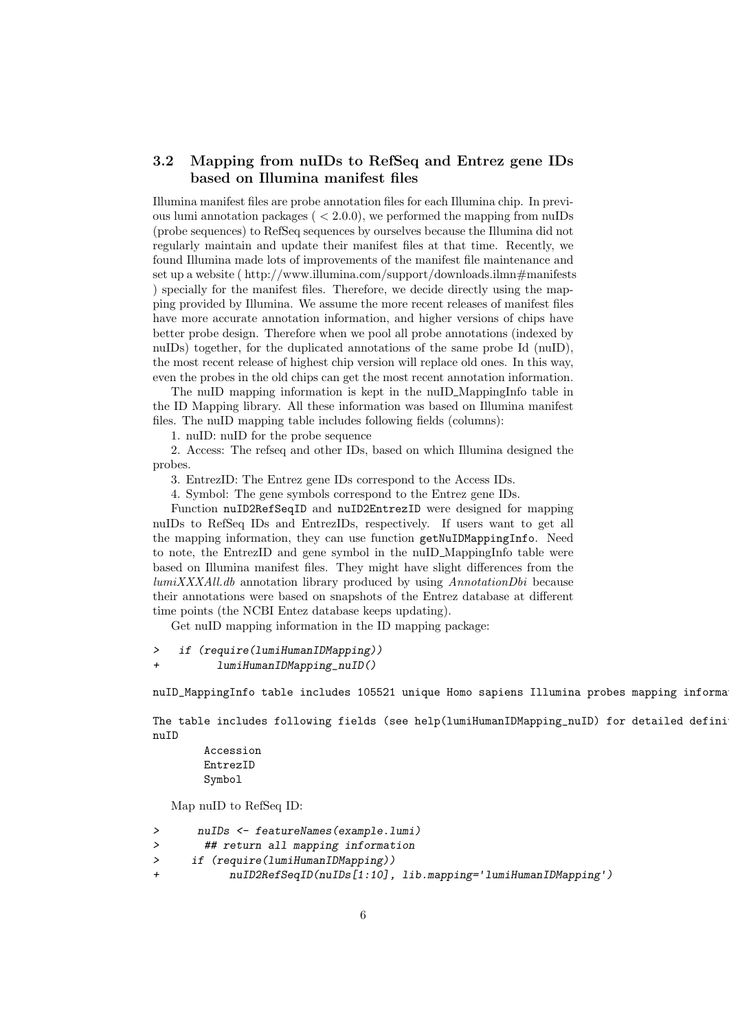### <span id="page-5-0"></span>3.2 Mapping from nuIDs to RefSeq and Entrez gene IDs based on Illumina manifest files

Illumina manifest files are probe annotation files for each Illumina chip. In previous lumi annotation packages  $(  $2.0.0$ ), we performed the mapping from nuIDs$ (probe sequences) to RefSeq sequences by ourselves because the Illumina did not regularly maintain and update their manifest files at that time. Recently, we found Illumina made lots of improvements of the manifest file maintenance and set up a website ( http://www.illumina.com/support/downloads.ilmn#manifests ) specially for the manifest files. Therefore, we decide directly using the mapping provided by Illumina. We assume the more recent releases of manifest files have more accurate annotation information, and higher versions of chips have better probe design. Therefore when we pool all probe annotations (indexed by nuIDs) together, for the duplicated annotations of the same probe Id (nuID), the most recent release of highest chip version will replace old ones. In this way, even the probes in the old chips can get the most recent annotation information.

The nuID mapping information is kept in the nuID MappingInfo table in the ID Mapping library. All these information was based on Illumina manifest files. The nuID mapping table includes following fields (columns):

1. nuID: nuID for the probe sequence

2. Access: The refseq and other IDs, based on which Illumina designed the probes.

3. EntrezID: The Entrez gene IDs correspond to the Access IDs.

4. Symbol: The gene symbols correspond to the Entrez gene IDs.

Function nuID2RefSeqID and nuID2EntrezID were designed for mapping nuIDs to RefSeq IDs and EntrezIDs, respectively. If users want to get all the mapping information, they can use function getNuIDMappingInfo. Need to note, the EntrezID and gene symbol in the nuID MappingInfo table were based on Illumina manifest files. They might have slight differences from the  $lumiXXXAll$ .db annotation library produced by using AnnotationDbi because their annotations were based on snapshots of the Entrez database at different time points (the NCBI Entez database keeps updating).

Get nuID mapping information in the ID mapping package:

```
> if (require(lumiHumanIDMapping))
```

```
+ lumiHumanIDMapping_nuID()
```
nuID\_MappingInfo table includes 105521 unique Homo sapiens Illumina probes mapping informa

The table includes following fields (see help(lumiHumanIDMapping nuID) for detailed definition. nuID

Accession EntrezID Symbol

Map nuID to RefSeq ID:

```
> nuIDs <- featureNames(example.lumi)
> ## return all mapping information
> if (require(lumiHumanIDMapping))
           + nuID2RefSeqID(nuIDs[1:10], lib.mapping='lumiHumanIDMapping')
```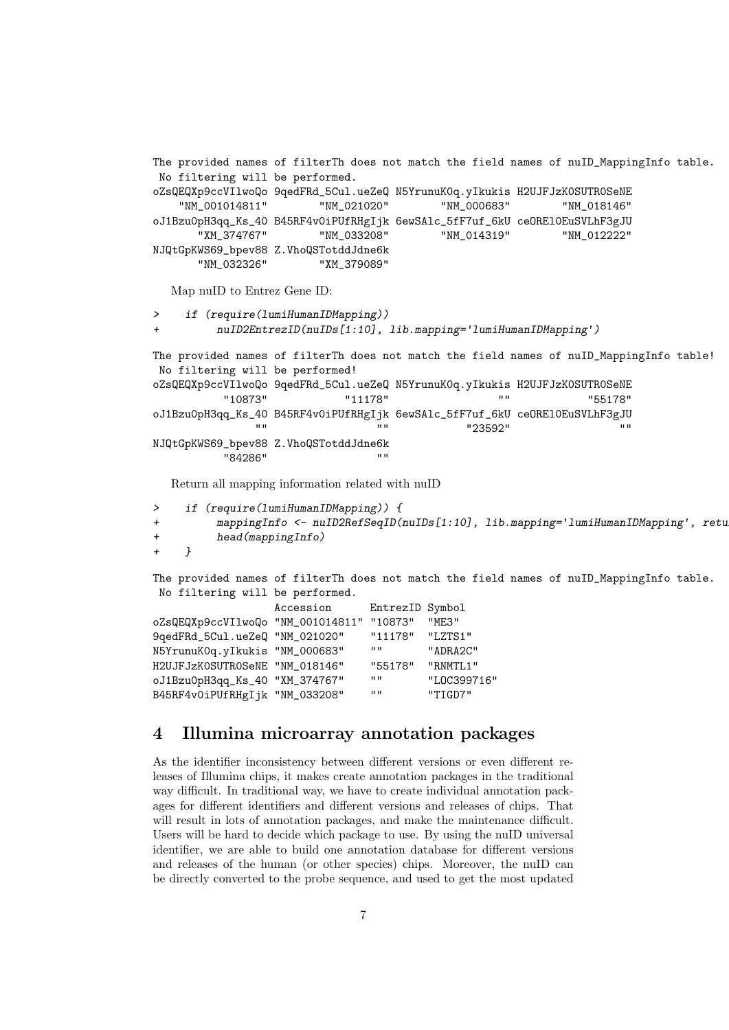```
The provided names of filterTh does not match the field names of nuID_MappingInfo table.
No filtering will be performed.
oZsQEQXp9ccVIlwoQo 9qedFRd_5Cul.ueZeQ N5YrunuK0q.yIkukis H2UJFJzK0SUTR0SeNE
   "NM_001014811" "NM_021020" "NM_000683" "NM_018146"
oJ1Bzu0pH3qq_Ks_40 B45RF4v0iPUfRHgIjk 6ewSAlc_5fF7uf_6kU ceOREl0EuSVLhF3gJU
      "XM_374767" "NM_033208" "NM_014319" "NM_012222"
NJQtGpKWS69_bpev88 Z.VhoQSTotddJdne6k
      "NM_032326" "XM_379089"
  Map nuID to Entrez Gene ID:
> if (require(lumiHumanIDMapping))
        + nuID2EntrezID(nuIDs[1:10], lib.mapping='lumiHumanIDMapping')
The provided names of filterTh does not match the field names of nuID_MappingInfo table!
No filtering will be performed!
oZsQEQXp9ccVIlwoQo 9qedFRd_5Cul.ueZeQ N5YrunuK0q.yIkukis H2UJFJzK0SUTR0SeNE
         "10873" "11178" "" "55178"
oJ1Bzu0pH3qq_Ks_40 B45RF4v0iPUfRHgIjk 6ewSAlc_5fF7uf_6kU ceOREl0EuSVLhF3gJU
              " " 23592"NJQtGpKWS69_bpev88 Z.VhoQSTotddJdne6k
         "84286"
```
Return all mapping information related with nuID

```
> if (require(lumiHumanIDMapping)) {
+ mappingInfo <- nuID2RefSeqID(nuIDs[1:10], lib.mapping='lumiHumanIDMapping', retu
+ head(mappingInfo)
+ }
The provided names of filterTh does not match the field names of nuID_MappingInfo table.
No filtering will be performed.
                  Accession EntrezID Symbol
oZsQEQXp9ccVIlwoQo "NM_001014811" "10873" "ME3"
9qedFRd_5Cul.ueZeQ "NM_021020" "11178" "LZTS1"
N5YrunuK0q.yIkukis "NM_000683" "" "ADRA2C"
H2UJFJzK0SUTR0SeNE "NM_018146" "55178" "RNMTL1"
oJ1Bzu0pH3qq_Ks_40 "XM_374767" "" "LOC399716"<br>R45RE4v0iPHfRHgTik "NM_033208" "" "TTGD7"
B45RF4v0iPUfRHgIjk "NM_033208" "" "TIGD7"
```
### <span id="page-6-0"></span>4 Illumina microarray annotation packages

As the identifier inconsistency between different versions or even different releases of Illumina chips, it makes create annotation packages in the traditional way difficult. In traditional way, we have to create individual annotation packages for different identifiers and different versions and releases of chips. That will result in lots of annotation packages, and make the maintenance difficult. Users will be hard to decide which package to use. By using the nuID universal identifier, we are able to build one annotation database for different versions and releases of the human (or other species) chips. Moreover, the nuID can be directly converted to the probe sequence, and used to get the most updated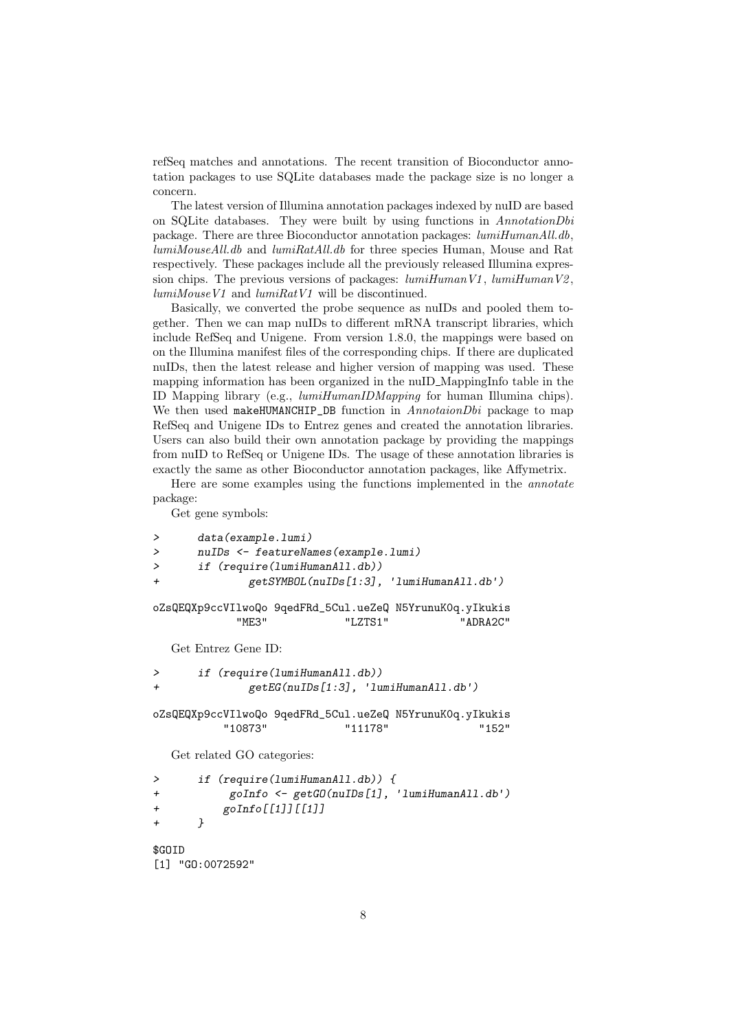refSeq matches and annotations. The recent transition of Bioconductor annotation packages to use SQLite databases made the package size is no longer a concern.

The latest version of Illumina annotation packages indexed by nuID are based on SQLite databases. They were built by using functions in AnnotationDbi package. There are three Bioconductor annotation packages: lumiHumanAll.db, lumiMouseAll.db and lumiRatAll.db for three species Human, Mouse and Rat respectively. These packages include all the previously released Illumina expression chips. The previous versions of packages:  $lumiHumanVI$ ,  $lumiHumanV2$ ,  $lumiMouseVI$  and  $lumiRatVI$  will be discontinued.

Basically, we converted the probe sequence as nuIDs and pooled them together. Then we can map nuIDs to different mRNA transcript libraries, which include RefSeq and Unigene. From version 1.8.0, the mappings were based on on the Illumina manifest files of the corresponding chips. If there are duplicated nuIDs, then the latest release and higher version of mapping was used. These mapping information has been organized in the nuID MappingInfo table in the ID Mapping library (e.g., lumiHumanIDMapping for human Illumina chips). We then used makeHUMANCHIP\_DB function in AnnotaionDbi package to map RefSeq and Unigene IDs to Entrez genes and created the annotation libraries. Users can also build their own annotation package by providing the mappings from nuID to RefSeq or Unigene IDs. The usage of these annotation libraries is exactly the same as other Bioconductor annotation packages, like Affymetrix.

Here are some examples using the functions implemented in the annotate package:

Get gene symbols:

```
> data(example.lumi)
> nuIDs <- featureNames(example.lumi)
> if (require(lumiHumanAll.db))
+ getSYMBOL(nuIDs[1:3], 'lumiHumanAll.db')
oZsQEQXp9ccVIlwoQo 9qedFRd_5Cul.ueZeQ N5YrunuK0q.yIkukis
           "ME3" "LZTS1" "ADRA2C"
  Get Entrez Gene ID:
> if (require(lumiHumanAll.db))
+ getEG(nuIDs[1:3], 'lumiHumanAll.db')
oZsQEQXp9ccVIlwoQo 9qedFRd_5Cul.ueZeQ N5YrunuK0q.yIkukis
         "10873" "11178" "152"
  Get related GO categories:
> if (require(lumiHumanAll.db)) {
+ goInfo <- getGO(nuIDs[1], 'lumiHumanAll.db')
+ goInfo[[1]][[1]]
+ }
$GOID
[1] "GO:0072592"
```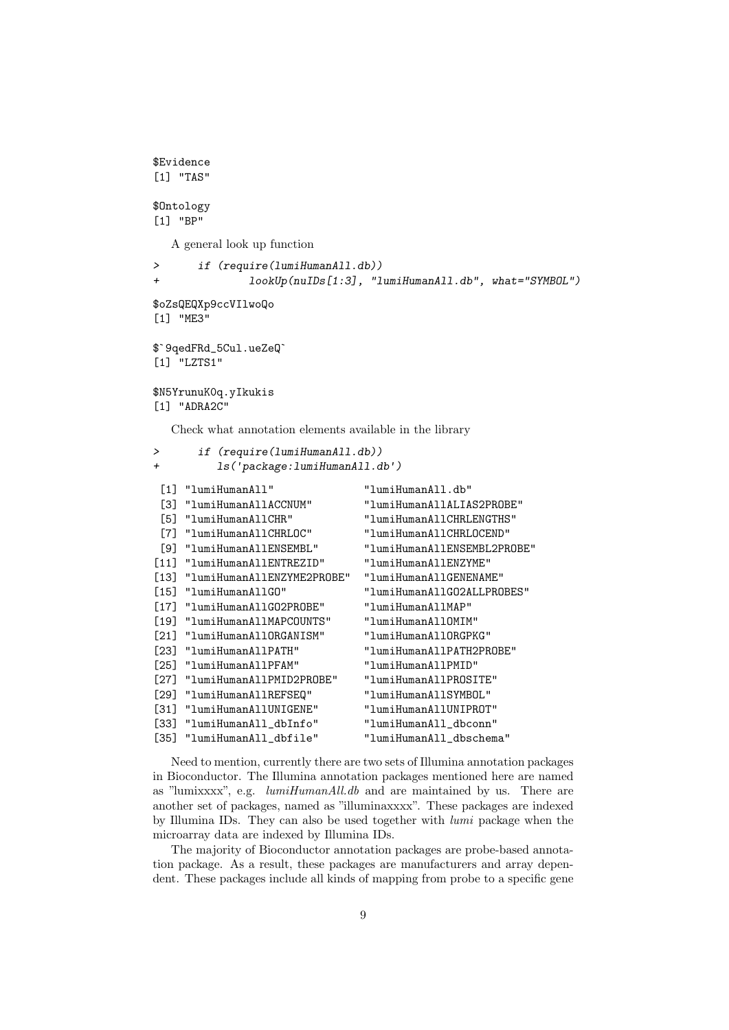```
$Evidence
[1] "TAS"
$Ontology
[1] "BP"
  A general look up function
> if (require(lumiHumanAll.db))
+ lookUp(nuIDs[1:3], "lumiHumanAll.db", what="SYMBOL")
$oZsQEQXp9ccVIlwoQo
[1] "ME3"
$`9qedFRd_5Cul.ueZeQ`
[1] "LZTS1"
$N5YrunuK0q.yIkukis
[1] "ADRA2C"
  Check what annotation elements available in the library
> if (require(lumiHumanAll.db))
         + ls('package:lumiHumanAll.db')
 [1] "lumiHumanAll" "lumiHumanAll.db"
 [3] "lumiHumanAllACCNUM" "lumiHumanAllALIAS2PROBE"
 [5] "lumiHumanAllCHR" "lumiHumanAllCHRLENGTHS"
[7] "lumiHumanAllCHRLOC" "lumiHumanAllCHRLOCEND"
[9] "lumiHumanAllENSEMBL" "lumiHumanAllENSEMBL2PROBE"
[11] "lumiHumanAllENTREZID" "lumiHumanAllENZYME"
[13] "lumiHumanAllENZYME2PROBE" "lumiHumanAllGENENAME"
[15] "lumiHumanAllGO" "lumiHumanAllGO2ALLPROBES"
[17] "lumiHumanAllGO2PROBE" "lumiHumanAllMAP"
[19] "lumiHumanAllMAPCOUNTS" "lumiHumanAllOMIM"
[21] "lumiHumanAllORGANISM" "lumiHumanAllORGPKG"
[23] "lumiHumanAllPATH" "lumiHumanAllPATH2PROBE"
[25] "lumiHumanAllPFAM" "lumiHumanAllPMID"
[27] "lumiHumanAllPMID2PROBE" "lumiHumanAllPROSITE"
[29] "lumiHumanAllREFSEQ" "lumiHumanAllSYMBOL"
[31] "lumiHumanAllUNIGENE" "lumiHumanAllUNIPROT"
[33] "lumiHumanAll_dbInfo" "lumiHumanAll_dbconn"
[35] "lumiHumanAll_dbfile" "lumiHumanAll_dbschema"
```
Need to mention, currently there are two sets of Illumina annotation packages in Bioconductor. The Illumina annotation packages mentioned here are named as "lumixxxx", e.g. lumiHumanAll.db and are maintained by us. There are another set of packages, named as "illuminaxxxx". These packages are indexed by Illumina IDs. They can also be used together with lumi package when the microarray data are indexed by Illumina IDs.

The majority of Bioconductor annotation packages are probe-based annotation package. As a result, these packages are manufacturers and array dependent. These packages include all kinds of mapping from probe to a specific gene